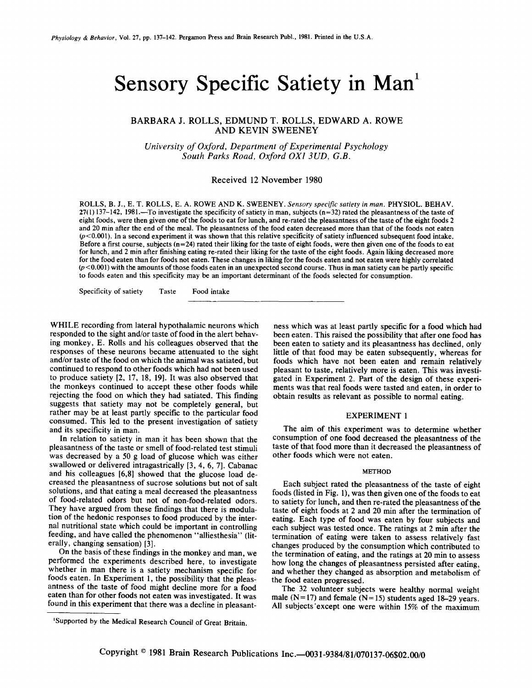# Sensory Specific Satiety in Man<sup>1</sup>

# BARBARA J. ROLLS, EDMUND T. ROLLS, EDWARD A. ROWE AND KEVIN SWEENEY

*University of Oxford, Department of Experimental Psychology South Parks Road, Oxford OXI 3UD, G.B.* 

## Received 12 November 1980

ROLLS, B. J., E. T. ROLLS, E. A. ROWE AND K. SWEENEY. *Sensory specific satiety in man.* PHYSIOL. BEHAV.  $27(1)$  137-142, 1981.—To investigate the specificity of satiety in man, subjects (n=32) rated the pleasantness of the taste of eight foods, were then given one of the foods to eat for lunch, and re-rated the pleasantness of the taste of the eight foods 2 and 20 min after the end of the meal. The pleasantness of the food eaten decreased more than that of the foods not eaten  $(p<0.001)$ . In a second experiment it was shown that this relative specificity of satiety influenced subsequent food intake. Before a first course, subjects  $(n=24)$  rated their liking for the taste of eight foods, were then given one of the foods to eat for lunch, and 2 min after finishing eating re-rated their liking for the taste of the eight foods. Again liking decreased more for the food eaten than for foods not eaten. These changes in liking for the foods eaten and not eaten were highly correlated  $(p<0.001)$  with the amounts of those foods eaten in an unexpected second course. Thus in man satiety can be partly specific to foods eaten and this specificity may be an important determinant of the foods selected for consumption.

Specificity of satiety Taste Food intake

WHILE recording from lateral hypothalamic neurons which responded to the sight and/or taste of food in the alert behaving monkey, E. Rolls and his colleagues observed that the responses of these neurons became attenuated to the sight and/or taste of the food on which the animal was satiated, but continued to respond to other foods which had not been used to produce satiety [2, 17, 18, 19]. It was also observed that the monkeys continued to accept these other foods while rejecting the food on which they had satiated. This finding suggests that satiety may not be completely general, but rather may be at least partly specific to the particular food consumed. This led to the present investigation of satiety and its specificity in man.

In relation to satiety in man it has been shown that the pleasantness of the taste or smell of food-related test stimuli was decreased by a 50 g load of glucose which was either swallowed or delivered intragastrically [3, 4, 6, 7]. Cabanac and his colleagues [6,8] showed that the glucose load decreased the pleasantness of sucrose solutions but not of salt solutions, and that eating a meal decreased the pleasantness of food-related odors but not of non-food-related odors. They have argued from these findings that there is modulation of the hedonic responses to food produced by the internal nutritional state which could be important in controlling feeding, and have called the phenomenon "alliesthesia" (literally, changing sensation) [3].

On the basis of these findings in the monkey and man, we performed the experiments described here, to investigate whether in man there is a satiety mechanism specific for foods eaten. In Experiment 1, the possibility that the pleasantness of the taste of food might decline more for a food eaten than for other foods not eaten was investigated. It was found in this experiment that there was a decline in pleasantness which was at least partly specific for a food which had been eaten. This raised the possibility that after one food has been eaten to satiety and its pleasantness has declined, only little of that food may be eaten subsequently, whereas for foods which have not been eaten and remain relatively pleasant to taste, relatively more is eaten. This was investigated in Experiment 2. Part of the design of these experiments was that real foods were tasted and eaten, in order to obtain results as relevant as possible to normal eating.

## EXPERIMENT 1

The aim of this experiment was to determine whether consumption of one food decreased the pleasantness of the taste of that food more than it decreased the pleasantness of other foods which were not eaten.

#### METHOD

Each subject rated the pleasantness of the taste of eight foods (listed in Fig. 1), was then given one of the foods to eat to satiety for lunch, and then re-rated the pleasantness of the taste of eight foods at 2 and 20 min after the termination of eating. Each type of food was eaten by four subjects and each subject was tested once. The ratings at 2 min after the termination of eating were taken to assess relatively fast changes produced by the consumption which contributed to the termination of eating, and the ratings at 20 min to assess how long the changes of pleasantness persisted after eating, and whether they changed as absorption and metabolism of the food eaten progressed.

The 32 volunteer subjects were healthy normal weight male  $(N=17)$  and female  $(N=15)$  students aged 18-29 years. All subjects'except one were within 15% of the maximum

<sup>~</sup>Supported by the Medical Research Council of Great Britain.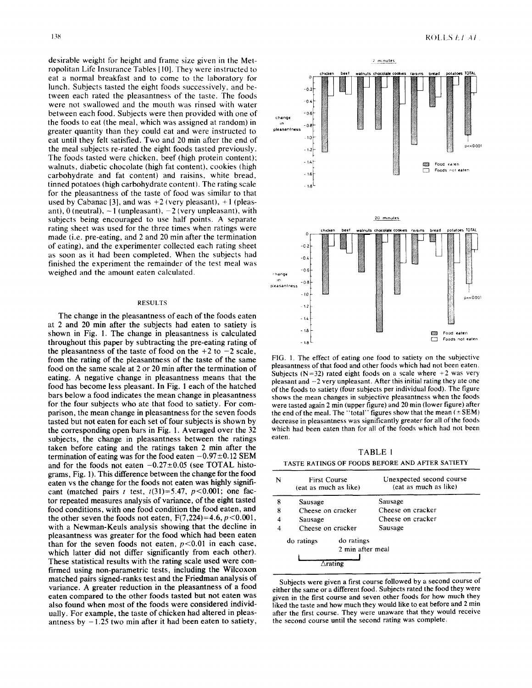desirable weight for height and frame size given in the Metropolitan Life Insurance Tables [ I0]. They were instructed to eat a normal breakfast and to come to the laboratory for lunch. Subjects tasted the eight foods successively, and between each rated the pleasantness of the taste. The foods were not swallowed and the mouth was rinsed with water between each food. Subjects were then provided with one of the foods to eat (the meal, which was assigned at random) in greater quantity than they could eat and were instructed to eat until they felt satisfied. Two and 20 min after the end of the meal subjects re-rated the eight foods tasted previously. The foods tasted were chicken, beef (high protein content): walnuts, diabetic chocolate (high fat content), cookies (high carbohydrate and fat content) and raisins, white bread, tinned potatoes (high carbohydrate content). The rating scale for the pleasantness of the taste of food was similar to that used by Cabanac [3], and was  $+2$  (very pleasant),  $+1$  (pleasant),  $0$  (neutral),  $-1$  (unpleasant),  $-2$  (very unpleasant), with subjects being encouraged to use half points. A separate rating sheet was used for the three times when ratings were made (i.e. pre-eating, and 2 and 20 min after the termination of eating), and the experimenter collected each rating sheet as soon as it had been completed. When the subjects had finished the experiment the remainder of the test meal was weighed and the amount eaten calculated.

#### RESULTS

The change in the pleasantness of each of the foods eaten at 2 and 20 min after the subjects had eaten to satiety is shown in Fig. 1. The change in pleasantness is calculated throughout this paper by subtracting the pre-eating rating of the pleasantness of the taste of food on the  $+2$  to  $-2$  scale, from the rating of the pleasantness of the taste of the same food on the same scale at 2 or 20 min after the termination of eating. A negative change in pleasantness means that the food has become less pleasant. In Fig. 1 each of the hatched bars below a food indicates the mean change in pleasantness for the four subjects who ate that food to satiety. For comparison, the mean change in pleasantness for the seven foods tasted but not eaten for each set of four subjects is shown by the corresponding open bars in Fig. 1. Averaged over the 32 subjects, the change in pleasantness between the ratings taken before eating and the ratings taken 2 min after the termination of eating was for the food eaten  $-0.97 \pm 0.12$  SEM and for the foods not eaten  $-0.27\pm0.05$  (see TOTAL histograms, Fig. 1). This difference between the change for the food eaten vs the change for the foods not eaten was highly significant (matched pairs t test,  $t(31)=5.47$ ,  $p<0.001$ ; one factor repeated measures analysis of variance, of the eight tasted food conditions, with one food condition the food eaten, and the other seven the foods not eaten,  $F(7,224)=4.6, p<0.001$ , with a Newman-Keuls analysis showing that the decline in pleasantness was greater for the food which had been eaten than for the seven foods not eaten,  $p < 0.01$  in each case, which latter did not differ significantly from each other). These statistical results with the rating scale used were confirmed using non-parametric tests, including the Wilcoxon matched pairs signed-ranks test and the Friedman analysis of variance. A greater reduction in the pleasantness of a food eaten compared to the other foods tasted but not eaten was also found when most of the foods were considered individually. For example, the taste of chicken had altered in pleasantness by  $-1.25$  two min after it had been eaten to satiety,



FIG. 1. The effect of eating one food to satiety on the subjective pleasantness of that food and other foods which had not been eaten. Subjects ( $N=32$ ) rated eight foods on a scale where +2 was very pleasant and  $-2$  very unpleasant. After this initial rating they ate one of the foods to satiety (four subjects per individual food). The figure shows the mean changes in subjective pleasantness when the foods were tasted again 2 min (upper figure) and 20 min (lower figure) after the end of the meal. The "total" figures show that the mean  $(\pm$ SEM) decrease in pleasantness was significantly greater for all of the foods which had been eaten than for all of the foods which had not been eaten.

TABLE 1 TASTE RATINGS OF FOODS BEFORE AND AFTER SATIETY

| N | <b>First Course</b><br>(eat as much as like) |            | Unexpected second course<br>(eat as much as like) |
|---|----------------------------------------------|------------|---------------------------------------------------|
| 8 | Sausage                                      |            | Sausage                                           |
| 8 | Cheese on cracker                            |            | Cheese on cracker                                 |
|   | Sausage                                      |            | Cheese on cracker                                 |
|   | Cheese on cracker                            |            | Sausage                                           |
|   | do ratings                                   | do ratings |                                                   |
|   | 2 min after meal                             |            |                                                   |
|   |                                              |            |                                                   |

Subjects were given a first course followed by a second course of either the same or a different food. Subjects rated the food they were given in the first course and seven other foods for how much they liked the taste and how much they would like to eat before and 2 min after the first course. They were unaware that they would receive the second course until the second rating was complete.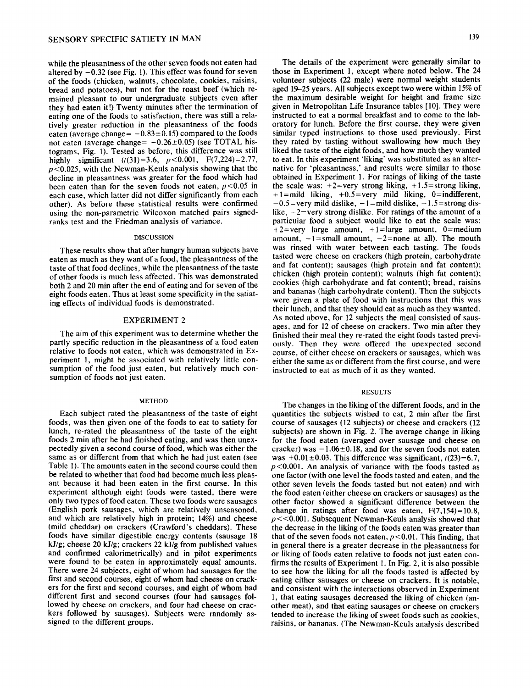while the pleasantness of the other seven foods not eaten had altered by  $-0.32$  (see Fig. 1). This effect was found for seven of the foods (chicken, walnuts, chocolate, cookies, raisins, bread and potatoes), but not for the roast beef (which remained pleasant to our undergraduate subjects even after they had eaten it!) Twenty minutes after the termination of eating one of the foods to satisfaction, there was still a relatively greater reduction in the pleasantness of the foods eaten (average change=  $-0.83\pm0.15$ ) compared to the foods not eaten (average change=  $-0.26\pm0.05$ ) (see TOTAL histograms, Fig. 1). Tested as before, this difference was still highly significant  $(t(31)=3.6, p<0.001, F(7,224)=2.77,$  $p < 0.025$ , with the Newman-Keuls analysis showing that the decline in pleasantness was greater for the food which had been eaten than for the seven foods not eaten,  $p < 0.05$  in each case, which latter did not differ significantly from each other). As before these statistical results were confirmed using the non-parametric Wilcoxon matched pairs signedranks test and the Friedman analysis of variance.

### DISCUSSION

These results show that after hungry human subjects have eaten as much as they want of a food, the pleasantness of the taste of that food declines, while the pleasantness of the taste of other foods is much less affected. This was demonstrated both 2 and 20 min after the end of eating and for seven of the eight foods eaten. Thus at least some specificity in the satiating effects of individual foods is demonstrated.

## EXPERIMENT 2

The aim of this experiment was to determine whether the partly specific reduction in the pleasantness of a food eaten relative to foods not eaten, which was demonstrated in Experiment 1, might be associated with relatively little consumption of the food just eaten, but relatively much consumption of foods not just eaten.

#### METHOD

Each subject rated the pleasantness of the taste of eight foods, was then given one of the foods to eat to satiety for lunch, re-rated the pleasantness of the taste of the eight foods 2 min after he had finished eating, and was then unexpectedly given a second course of food, which was either the same as or different from that which he had just eaten (see Table 1). The amounts eaten in the second course could then be related to whether that food had become much less pleasant because it had been eaten in the first course. In this experiment although eight foods were tasted, there were only two types of food eaten. These two foods were sausages (English pork sausages, which are relatively unseasoned, and which are relatively high in protein; 14%) and cheese (mild cheddar) on crackers (Crawford's cheddars). These foods have similar digestible energy contents (sausage 18 kJ/g; cheese 20 kJ/g; crackers 22 kJ/g from published values and confirmed calorimetrically) and in pilot experiments were found to be eaten in approximately equal amounts. There were 24 subjects, eight of whom had sausages for the first and second courses, eight of whom had cheese on crackers for the first and second courses, and eight of whom had different first and second courses (four had sausages followed by cheese on crackers, and four had cheese on crackers followed by sausages). Subjects were randomly assigned to the different groups.

The details of the experiment were generally similar to those in Experiment 1, except where noted below. The 24 volunteer subjects (22 male) were normal weight students aged 19-25 years. All subjects except two were within 15% of the maximum desirable weight for height and frame size given in Metropolitan Life Insurance tables [10]. They were instructed to eat a normal breakfast and to come to the laboratory for lunch. Before the first course, they were given similar typed instructions to those used previously. First they rated by tasting without swallowing how much they liked the taste of the eight foods, and how much they wanted to eat. In this experiment 'liking' was substituted as an alternative for 'pleasantness,' and results were similar to those obtained in Experiment 1. For ratings of liking of the taste the scale was:  $+2$ =very strong liking,  $+1.5$ =strong liking,  $+1$ =mild liking,  $+0.5$ =very mild liking, 0=indifferent,  $-0.5$  = very mild dislike,  $-1$  = mild dislike,  $-1.5$  = strong dislike,  $-2$ =very strong dislike. For ratings of the amount of a particular food a subject would like to eat the scale was:  $+2$ =very large amount,  $+1$ =large amount, 0=medium amount,  $-1$ =small amount,  $-2$ =none at all). The mouth was rinsed with water between each tasting. The foods tasted were cheese on crackers (high protein, carbohydrate and fat content); sausages (high protein and fat content); chicken (high protein content); walnuts (high fat content); cookies (high carbohydrate and fat content); bread, raisins and bananas (high carbohydrate content). Then the subjects were given a plate of food with instructions that this was their lunch, and that they should eat as much as they wanted. As noted above, for 12 subjects the meal consisted of sausages, and for 12 of cheese on crackers. Two min after they finished their meal they re-rated the eight foods tasted previously. Then they were offered the unexpected second course, of either cheese on crackers or sausages, which was either the same as or different from the first course, and were instructed to eat as much of it as they wanted.

#### RESULTS

The changes in the liking of the different foods, and in the quantities the subjects wished to eat, 2 min after the first course of sausages (12 subjects) or cheese and crackers (12 subjects) are shown in Fig. 2. The average change in liking for the food eaten (averaged over sausage and cheese on cracker) was  $-1.06\pm0.18$ , and for the seven foods not eaten was  $+0.01\pm0.03$ . This difference was significant,  $t(23)=6.7$ ,  $p<0.001$ . An analysis of variance with the foods tasted as one factor (with one level the foods tasted and eaten, and the other seven levels the foods tasted but not eaten) and with the food eaten (either cheese on crackers or sausages) as the other factor showed a significant difference between the change in ratings after food was eaten,  $F(7,154)=10.8$ ,  $p \ll 0.001$ . Subsequent Newman-Keuls analysis showed that the decrease in the liking of the foods eaten was greater than that of the seven foods not eaten,  $p < 0.01$ . This finding, that in general there is a greater decrease in the pleasantness for or liking of foods eaten relative to foods not just eaten confirms the results of Experiment 1. In Fig. 2, it is also possible to see how the liking for all the foods tasted is affected by eating either sausages or cheese on crackers. It is notable, and consistent with the interactions observed in Experiment 1, that eating sausages decreased the liking of chicken (another meat), and that eating sausages or cheese on crackers tended to increase the liking of sweet foods such as cookies, raisins, or bananas. (The Newman-Keuls analysis described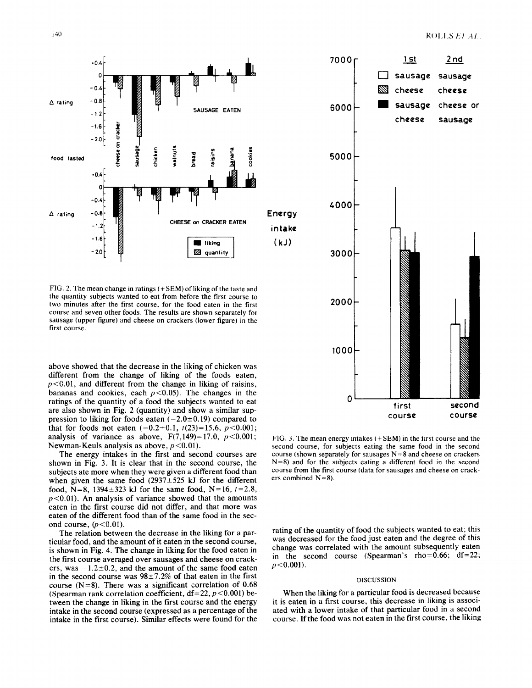

FIG. 2. The mean change in ratings (+SEM) of liking of the taste and the quantity subjects wanted to eat from before the first course to two minutes after the first course, for the food eaten in the first course and seven other foods. The results are shown separately for sausage (upper figure) and cheese on crackers (lower figure) in the first course.

above showed that the decrease in the liking of chicken was different from the change of liking of the foods eaten,  $p < 0.01$ , and different from the change in liking of raisins, bananas and cookies, each  $p < 0.05$ . The changes in the ratings of the quantity of a food the subjects wanted to eat are also shown in Fig. 2 (quantity) and show a similar suppression to liking for foods eaten  $(-2.0\pm0.19)$  compared to that for foods not eaten  $(-0.2\pm0.1, t(23)=15.6, p<0.001;$ analysis of variance as above,  $F(7,149)=17.0$ ,  $p<0.001$ ; Newman-Keuls analysis as above,  $p < 0.01$ ).

The energy intakes in the first and second courses are shown in Fig. 3. It is clear that in the second course, the subjects ate more when they were given a different food than when given the same food  $(2937 \pm 525 \text{ kJ})$  for the different food, N=8, 1394 $\pm$ 323 kJ for the same food, N=16,  $t = 2.8$ ,  $p<0.01$ ). An analysis of variance showed that the amounts eaten in the first course did not differ, and that more was eaten of the different food than of the same food in the second course,  $(p<0.01)$ .

The relation between the decrease in the liking for a particular food, and the amount of it eaten in the second course, is shown in Fig. 4. The change in liking for the food eaten in the first course averaged over sausages and cheese on crackers, was  $-1.2\pm0.2$ , and the amount of the same food eaten in the second course was  $98\pm7.2\%$  of that eaten in the first course  $(N=8)$ . There was a significant correlation of 0.68 (Spearman rank correlation coefficient,  $df = 22$ ,  $p < 0.001$ ) between the change in liking in the first course and the energy intake in the second course (expressed as a percentage of the intake in the first course). Similar effects were found for the





FIG. 3. The mean energy intakes (+SEM) in the first course and the second course, for subjects eating the same food in the second course (shown separately for sausages  $N = 8$  and cheese on crackers N=8) and for the subjects eating a different food in the second course from the first course (data for sausages and cheese on crackers combined  $N=8$ ).

rating of the quantity of food the subjects wanted to eat; this was decreased for the food just eaten and the degree of this change was correlated with the amount subsequently eaten in the second course (Spearman's rho=0.66; df=22;  $p < 0.001$ ).

#### DISCUSSION

When the liking for a particular food is decreased because it is eaten in a first course, this decrease in liking is associated with a lower intake of that particular food in a second course. If the food was not eaten in the first course, the liking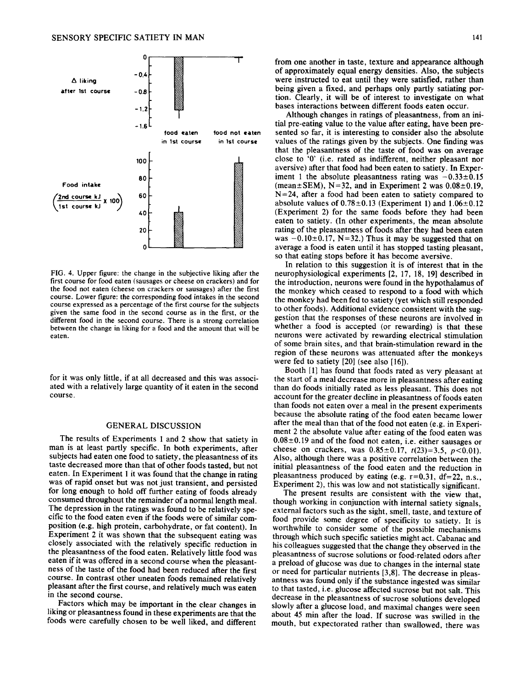



FIG. 4. Upper figure: the change in the subjective liking after the first course for food eaten (sausages or cheese on crackers) and for the food not eaten (cheese on crackers or sausages) after the first course. Lower figure: the corresponding food intakes in the second course expressed as a percentage of the first course for the subjects given the same food in the second course as in the first, or the different food in the second course. There is a strong correlation between the change in liking for a food and the amount that will be eaten.

for it was only little, if at all decreased and this was associated with a relatively large quantity of it eaten in the second course.

## GENERAL DISCUSSION

The results of Experiments 1 and 2 show that satiety in man is at least partly specific. In both experiments, after subjects had eaten one food to satiety, the pleasantness of its taste decreased more than that of other foods tasted, but not eaten. In Experiment 1 it was found that the change in rating was of rapid onset but was not just transient, and persisted for long enough to hold off further eating of foods already consumed throughout the remainder of a normal length meal. The depression in the ratings was found to be relatively specific to the food eaten even if the foods were of similar composition (e.g. high protein, carbohydrate, or fat content). In Experiment 2 it was shown that the subsequent eating was closely associated with the relatively specific reduction in the pleasantness of the food eaten. Relatively little food was eaten if it was offered in a second course when the pleasantness of the taste of the food had been reduced after the first course. In contrast other uneaten foods remained relatively pleasant after the first course, and relatively much was eaten in the second course.

Factors which may be important in the clear changes in liking or pleasantness found in these experiments are that the foods were carefully chosen to be well liked, and different from one another in taste, texture and appearance although of approximately equal energy densities. Also, the subjects were instructed to eat until they were satisfied, rather than being given a fixed, and perhaps only partly satiating portion. Clearly, it will be of interest to investigate on what bases interactions between different foods eaten occur.

Although changes in ratings of pleasantness, from an initial pre-eating value to the value after eating, have been presented so far, it is interesting to consider also the absolute values of the ratings given by the subjects. One finding was that the pleasantness of the taste of food was on average close to '0' (i.e. rated as indifferent, neither pleasant nor aversive) after that food had been eaten to satiety. In Experiment 1 the absolute pleasantness rating was  $-0.33\pm0.15$ (mean $\pm$ SEM), N=32, and in Experiment 2 was  $0.08\pm0.19$ ,  $N=24$ , after a food had been eaten to satiety compared to absolute values of  $0.78\pm0.13$  (Experiment 1) and  $1.06\pm0.12$ (Experiment 2) for the same foods before they had been eaten to satiety. (In other experiments, the mean absolute rating of the pleasantness of foods after they had been eaten was  $-0.10\pm0.17$ , N=32.) Thus it may be suggested that on average a food is eaten until it has stopped tasting pleasant, so that eating stops before it has become aversive.

In relation to this suggestion it is of interest that in the neurophysiological experiments [2, 17, 18, 19] described in the introduction, neurons were found in the hypothalamus of the monkey which ceased to respond to a food with which the monkey had been fed to satiety (yet which still responded to other foods). Additional evidence consistent with the suggestion that the responses of these neurons are involved in whether a food is accepted (or rewarding) is that these neurons were activated by rewarding electrical stimulation of some brain sites, and that brain-stimulation reward in the region of these neurons was attenuated after the monkeys were fed to satiety [20] (see also [16]).

Booth [1] has found that foods rated as very pleasant at the start of a meal decrease more in pleasantness after eating than do foods initially rated as less pleasant. This does not account for the greater decline in pleasantness of foods eaten than foods not eaten over a meal in the present experiments because the absolute rating of the food eaten became lower after the meal than that of the food not eaten (e.g. in Experiment 2 the absolute value after eating of the food eaten was  $0.08\pm0.19$  and of the food not eaten, i.e. either sausages or cheese on crackers, was  $0.85\pm0.17$ ,  $t(23)=3.5$ ,  $p<0.01$ ). Also, although there was a positive correlation between the initial pleasantness of the food eaten and the reduction in pleasantness produced by eating (e.g.  $r=0.31$ ,  $df=22$ , n.s., Experiment 2), this was low and not statistically significant.

The present results are consistent with the view that, though working in conjunction with internal satiety signals, external factors such as the sight, smell, taste, and texture of food provide some degree of specificity to satiety. It is worthwhile to consider some of the possible mechanisms through which such specific satieties might act. Cabanac and his colleagues suggested that the change they observed in the pleasantness of sucrose solutions or food-related odors after a preload of glucose was due to changes in the internal state or need for particular nutrients [3,8]. The decrease in pleasantness was found only if the substance ingested was similar to that tasted, i.e. glucose affected sucrose but not salt. This decrease in the pleasantness of sucrose solutions developed slowly after a glucose load, and maximal changes were seen about 45 min after the load. If sucrose was swilled in the mouth, but expectorated rather than swallowed, there was